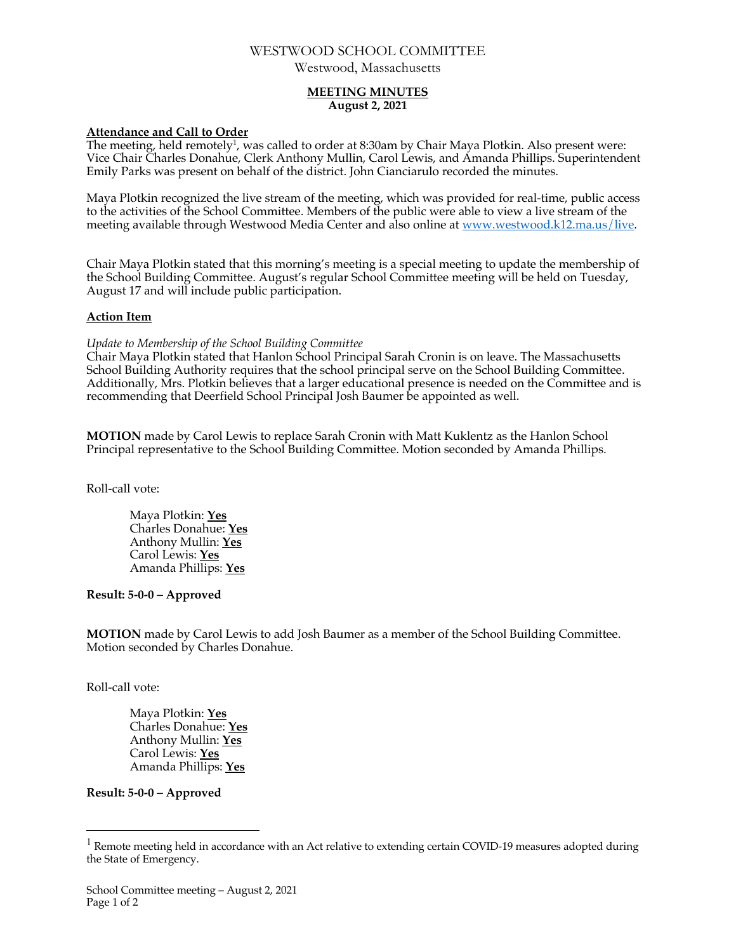# WESTWOOD SCHOOL COMMITTEE

Westwood, Massachusetts

### **MEETING MINUTES August 2, 2021**

### **Attendance and Call to Order**

The meeting, held remotely<sup>1</sup>, was called to order at 8:30am by Chair Maya Plotkin. Also present were: Vice Chair Charles Donahue, Clerk Anthony Mullin, Carol Lewis, and Amanda Phillips. Superintendent Emily Parks was present on behalf of the district. John Cianciarulo recorded the minutes.

Maya Plotkin recognized the live stream of the meeting, which was provided for real-time, public access to the activities of the School Committee. Members of the public were able to view a live stream of the meeting available through Westwood Media Center and also online at www.westwood.k12.ma.us/live.

Chair Maya Plotkin stated that this morning's meeting is a special meeting to update the membership of the School Building Committee. August's regular School Committee meeting will be held on Tuesday, August 17 and will include public participation.

#### **Action Item**

*Update to Membership of the School Building Committee*

Chair Maya Plotkin stated that Hanlon School Principal Sarah Cronin is on leave. The Massachusetts School Building Authority requires that the school principal serve on the School Building Committee. Additionally, Mrs. Plotkin believes that a larger educational presence is needed on the Committee and is recommending that Deerfield School Principal Josh Baumer be appointed as well.

**MOTION** made by Carol Lewis to replace Sarah Cronin with Matt Kuklentz as the Hanlon School Principal representative to the School Building Committee. Motion seconded by Amanda Phillips.

Roll-call vote:

Maya Plotkin: **Yes** Charles Donahue: **Yes** Anthony Mullin: **Yes** Carol Lewis: **Yes** Amanda Phillips: **Yes**

**Result: 5-0-0 – Approved** 

**MOTION** made by Carol Lewis to add Josh Baumer as a member of the School Building Committee. Motion seconded by Charles Donahue.

Roll-call vote:

Maya Plotkin: **Yes** Charles Donahue: **Yes** Anthony Mullin: **Yes** Carol Lewis: **Yes** Amanda Phillips: **Yes**

### **Result: 5-0-0 – Approved**

 $1$  Remote meeting held in accordance with an Act relative to extending certain COVID-19 measures adopted during the State of Emergency.